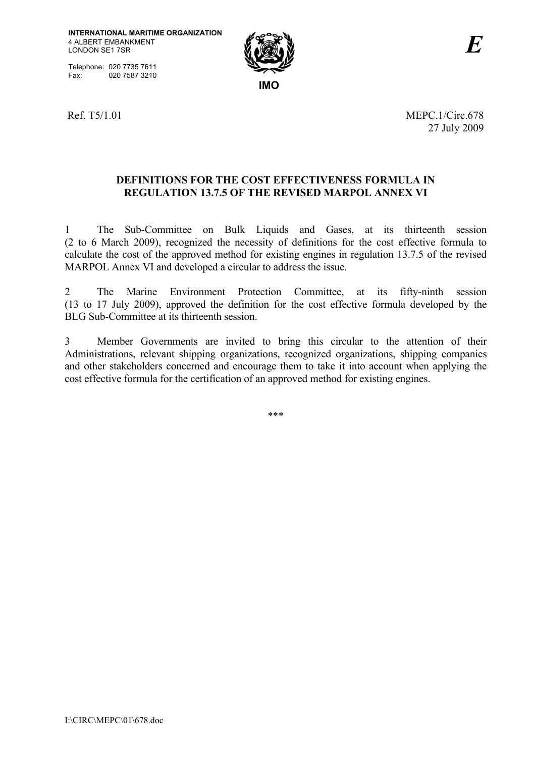Telephone: 020 7735 7611<br>Fax: 020 7587 3210 020 7587 3210



Ref. T5/1.01 MEPC. 1/Circ.678 27 July 2009

## **DEFINITIONS FOR THE COST EFFECTIVENESS FORMULA IN REGULATION 13.7.5 OF THE REVISED MARPOL ANNEX VI**

1 The Sub-Committee on Bulk Liquids and Gases, at its thirteenth session (2 to 6 March 2009), recognized the necessity of definitions for the cost effective formula to calculate the cost of the approved method for existing engines in regulation 13.7.5 of the revised MARPOL Annex VI and developed a circular to address the issue.

2 The Marine Environment Protection Committee, at its fifty-ninth session (13 to 17 July 2009), approved the definition for the cost effective formula developed by the BLG Sub-Committee at its thirteenth session.

3 Member Governments are invited to bring this circular to the attention of their Administrations, relevant shipping organizations, recognized organizations, shipping companies and other stakeholders concerned and encourage them to take it into account when applying the cost effective formula for the certification of an approved method for existing engines.

\*\*\*